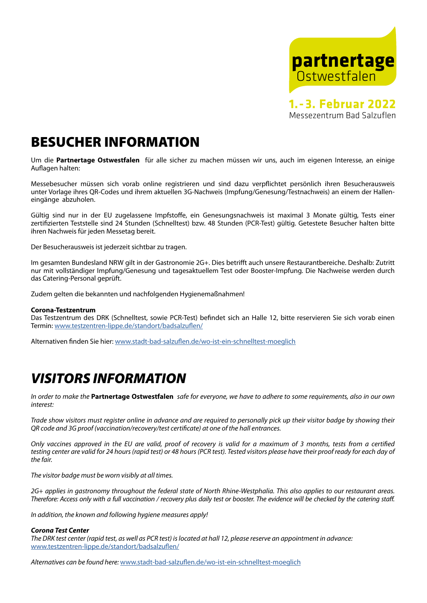

**1.- 3. Februar 2022** Messezentrum Bad Salzuflen

### BESUCHER INFORMATION

Um die **Partnertage Ostwestfalen** für alle sicher zu machen müssen wir uns, auch im eigenen Interesse, an einige Auflagen halten:

Messebesucher müssen sich vorab online registrieren und sind dazu verpflichtet persönlich ihren Besucherausweis unter Vorlage ihres QR-Codes und ihrem aktuellen 3G-Nachweis (Impfung/Genesung/Testnachweis) an einem der Halleneingänge abzuholen.

Gültig sind nur in der EU zugelassene Impfstoffe, ein Genesungsnachweis ist maximal 3 Monate gültig, Tests einer zertifizierten Teststelle sind 24 Stunden (Schnelltest) bzw. 48 Stunden (PCR-Test) gültig. Getestete Besucher halten bitte ihren Nachweis für jeden Messetag bereit.

Der Besucherausweis ist jederzeit sichtbar zu tragen.

Im gesamten Bundesland NRW gilt in der Gastronomie 2G+. Dies betrifft auch unsere Restaurantbereiche. Deshalb: Zutritt nur mit vollständiger Impfung/Genesung und tagesaktuellem Test oder Booster-Impfung. Die Nachweise werden durch das Catering-Personal geprüft.

Zudem gelten die bekannten und nachfolgenden Hygienemaßnahmen!

#### **Corona-Testzentrum**

Das Testzentrum des DRK (Schnelltest, sowie PCR-Test) befindet sich an Halle 12, bitte reservieren Sie sich vorab einen Termin: www.testzentren-lippe.de/standort/badsalzuflen/

Alternativen finden Sie hier: www.stadt-bad-salzuflen.de/wo-ist-ein-schnelltest-moeglich

## *VISITORS INFORMATION*

*In order to make the* **Partnertage Ostwestfalen** *safe for everyone, we have to adhere to some requirements, also in our own interest:*

*Trade show visitors must register online in advance and are required to personally pick up their visitor badge by showing their QR code and 3G proof (vaccination/recovery/test certificate) at one of the hall entrances.*

*Only vaccines approved in the EU are valid, proof of recovery is valid for a maximum of 3 months, tests from a certified testing center are valid for 24 hours (rapid test) or 48 hours (PCR test). Tested visitors please have their proof ready for each day of the fair.*

*The visitor badge must be worn visibly at all times.*

*2G+ applies in gastronomy throughout the federal state of North Rhine-Westphalia. This also applies to our restaurant areas. Therefore: Access only with a full vaccination / recovery plus daily test or booster. The evidence will be checked by the catering staff.*

*In addition, the known and following hygiene measures apply!*

#### *Corona Test Center*

*The DRK test center (rapid test, as well as PCR test) is located at hall 12, please reserve an appointment in advance:*  www.testzentren-lippe.de/standort/badsalzuflen/

*Alternatives can be found here:* www.stadt-bad-salzuflen.de/wo-ist-ein-schnelltest-moeglich